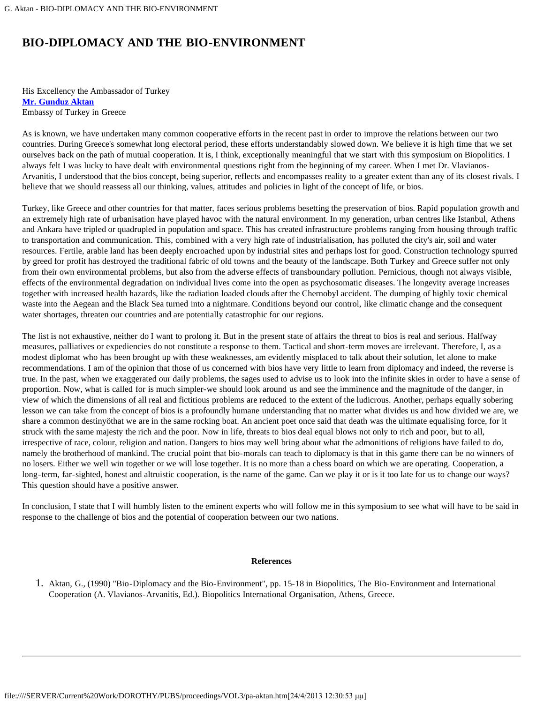## **BIO-DIPLOMACY AND THE BIO-ENVIRONMENT**

His Excellency the Ambassador of Turkey **[Mr. Gunduz Aktan](#page-1-0)** Embassy of Turkey in Greece

As is known, we have undertaken many common cooperative efforts in the recent past in order to improve the relations between our two countries. During Greece's somewhat long electoral period, these efforts understandably slowed down. We believe it is high time that we set ourselves back on the path of mutual cooperation. It is, I think, exceptionally meaningful that we start with this symposium on Biopolitics. I always felt I was lucky to have dealt with environmental questions right from the beginning of my career. When I met Dr. Vlavianos-Arvanitis, I understood that the bios concept, being superior, reflects and encompasses reality to a greater extent than any of its closest rivals. I believe that we should reassess all our thinking, values, attitudes and policies in light of the concept of life, or bios.

Turkey, like Greece and other countries for that matter, faces serious problems besetting the preservation of bios. Rapid population growth and an extremely high rate of urbanisation have played havoc with the natural environment. In my generation, urban centres like Istanbul, Athens and Ankara have tripled or quadrupled in population and space. This has created infrastructure problems ranging from housing through traffic to transportation and communication. This, combined with a very high rate of industrialisation, has polluted the city's air, soil and water resources. Fertile, arable land has been deeply encroached upon by industrial sites and perhaps lost for good. Construction technology spurred by greed for profit has destroyed the traditional fabric of old towns and the beauty of the landscape. Both Turkey and Greece suffer not only from their own environmental problems, but also from the adverse effects of transboundary pollution. Pernicious, though not always visible, effects of the environmental degradation on individual lives come into the open as psychosomatic diseases. The longevity average increases together with increased health hazards, like the radiation loaded clouds after the Chernobyl accident. The dumping of highly toxic chemical waste into the Aegean and the Black Sea turned into a nightmare. Conditions beyond our control, like climatic change and the consequent water shortages, threaten our countries and are potentially catastrophic for our regions.

The list is not exhaustive, neither do I want to prolong it. But in the present state of affairs the threat to bios is real and serious. Halfway measures, palliatives or expediencies do not constitute a response to them. Tactical and short-term moves are irrelevant. Therefore, I, as a modest diplomat who has been brought up with these weaknesses, am evidently misplaced to talk about their solution, let alone to make recommendations. I am of the opinion that those of us concerned with bios have very little to learn from diplomacy and indeed, the reverse is true. In the past, when we exaggerated our daily problems, the sages used to advise us to look into the infinite skies in order to have a sense of proportion. Now, what is called for is much simpler-we should look around us and see the imminence and the magnitude of the danger, in view of which the dimensions of all real and fictitious problems are reduced to the extent of the ludicrous. Another, perhaps equally sobering lesson we can take from the concept of bios is a profoundly humane understanding that no matter what divides us and how divided we are, we share a common destinyöthat we are in the same rocking boat. An ancient poet once said that death was the ultimate equalising force, for it struck with the same majesty the rich and the poor. Now in life, threats to bios deal equal blows not only to rich and poor, but to all, irrespective of race, colour, religion and nation. Dangers to bios may well bring about what the admonitions of religions have failed to do, namely the brotherhood of mankind. The crucial point that bio-morals can teach to diplomacy is that in this game there can be no winners of no losers. Either we well win together or we will lose together. It is no more than a chess board on which we are operating. Cooperation, a long-term, far-sighted, honest and altruistic cooperation, is the name of the game. Can we play it or is it too late for us to change our ways? This question should have a positive answer.

In conclusion, I state that I will humbly listen to the eminent experts who will follow me in this symposium to see what will have to be said in response to the challenge of bios and the potential of cooperation between our two nations.

## **References**

1. Aktan, G., (1990) "Bio-Diplomacy and the Bio-Environment", pp. 15-18 in Biopolitics, The Bio-Environment and International Cooperation (A. Vlavianos-Arvanitis, Ed.). Biopolitics International Organisation, Athens, Greece.